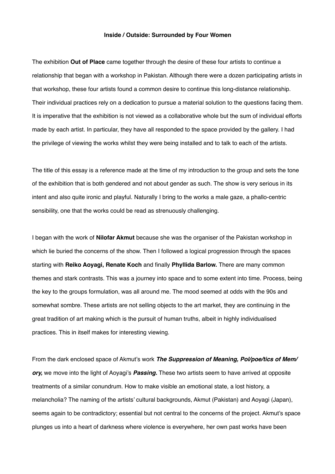## **Inside / Outside: Surrounded by Four Women**

The exhibition **Out of Place** came together through the desire of these four artists to continue a relationship that began with a workshop in Pakistan. Although there were a dozen participating artists in that workshop, these four artists found a common desire to continue this long-distance relationship. Their individual practices rely on a dedication to pursue a material solution to the questions facing them. It is imperative that the exhibition is not viewed as a collaborative whole but the sum of individual efforts made by each artist. In particular, they have all responded to the space provided by the gallery. I had the privilege of viewing the works whilst they were being installed and to talk to each of the artists.

The title of this essay is a reference made at the time of my introduction to the group and sets the tone of the exhibition that is both gendered and not about gender as such. The show is very serious in its intent and also quite ironic and playful. Naturally I bring to the works a male gaze, a phallo-centric sensibility, one that the works could be read as strenuously challenging.

I began with the work of **Nilofar Akmut** because she was the organiser of the Pakistan workshop in which lie buried the concerns of the show. Then I followed a logical progression through the spaces starting with **Reiko Aoyagi, Renate Koch** and finally **Phyllida Barlow.** There are many common themes and stark contrasts. This was a journey into space and to some extent into time. Process, being the key to the groups formulation, was all around me. The mood seemed at odds with the 90s and somewhat sombre. These artists are not selling objects to the art market, they are continuing in the great tradition of art making which is the pursuit of human truths, albeit in highly individualised practices. This in itself makes for interesting viewing.

From the dark enclosed space of Akmut's work *The Suppression of Meaning, Pol/poe/tics of Mem/ ory,* we move into the light of Aoyagi's *Passing.* These two artists seem to have arrived at opposite treatments of a similar conundrum. How to make visible an emotional state, a lost history, a melancholia? The naming of the artists' cultural backgrounds, Akmut (Pakistan) and Aoyagi (Japan), seems again to be contradictory; essential but not central to the concerns of the project. Akmut's space plunges us into a heart of darkness where violence is everywhere, her own past works have been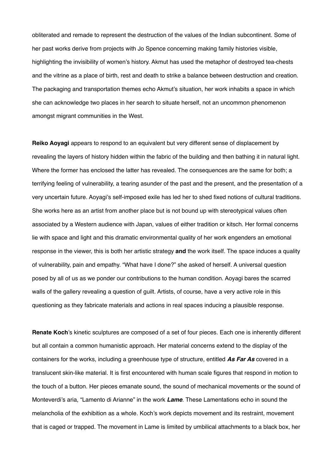obliterated and remade to represent the destruction of the values of the Indian subcontinent. Some of her past works derive from projects with Jo Spence concerning making family histories visible, highlighting the invisibility of women's history. Akmut has used the metaphor of destroyed tea-chests and the vitrine as a place of birth, rest and death to strike a balance between destruction and creation. The packaging and transportation themes echo Akmut's situation, her work inhabits a space in which she can acknowledge two places in her search to situate herself, not an uncommon phenomenon amongst migrant communities in the West.

**Reiko Aoyagi** appears to respond to an equivalent but very different sense of displacement by revealing the layers of history hidden within the fabric of the building and then bathing it in natural light. Where the former has enclosed the latter has revealed. The consequences are the same for both; a terrifying feeling of vulnerability, a tearing asunder of the past and the present, and the presentation of a very uncertain future. Aoyagi's self-imposed exile has led her to shed fixed notions of cultural traditions. She works here as an artist from another place but is not bound up with stereotypical values often associated by a Western audience with Japan, values of either tradition or kitsch. Her formal concerns lie with space and light and this dramatic environmental quality of her work engenders an emotional response in the viewer, this is both her artistic strategy **and** the work itself. The space induces a quality of vulnerability, pain and empathy. "What have I done?" she asked of herself. A universal question posed by all of us as we ponder our contributions to the human condition. Aoyagi bares the scarred walls of the gallery revealing a question of guilt. Artists, of course, have a very active role in this questioning as they fabricate materials and actions in real spaces inducing a plausible response.

**Renate Koch**'s kinetic sculptures are composed of a set of four pieces. Each one is inherently different but all contain a common humanistic approach. Her material concerns extend to the display of the containers for the works, including a greenhouse type of structure, entitled *As Far As* covered in a translucent skin-like material. It is first encountered with human scale figures that respond in motion to the touch of a button. Her pieces emanate sound, the sound of mechanical movements or the sound of Monteverdi's aria, "Lamento di Arianne" in the work *Lame*. These Lamentations echo in sound the melancholia of the exhibition as a whole. Koch's work depicts movement and its restraint, movement that is caged or trapped. The movement in Lame is limited by umbilical attachments to a black box, her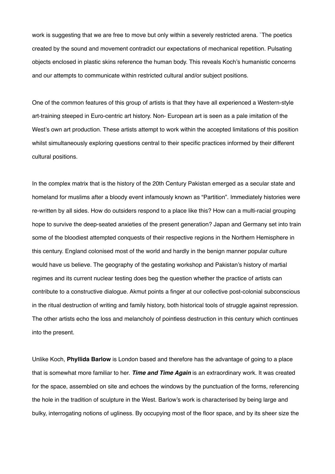work is suggesting that we are free to move but only within a severely restricted arena. `The poetics created by the sound and movement contradict our expectations of mechanical repetition. Pulsating objects enclosed in plastic skins reference the human body. This reveals Koch's humanistic concerns and our attempts to communicate within restricted cultural and/or subject positions.

One of the common features of this group of artists is that they have all experienced a Western-style art-training steeped in Euro-centric art history. Non- European art is seen as a pale imitation of the West's own art production. These artists attempt to work within the accepted limitations of this position whilst simultaneously exploring questions central to their specific practices informed by their different cultural positions.

In the complex matrix that is the history of the 20th Century Pakistan emerged as a secular state and homeland for muslims after a bloody event infamously known as "Partition". Immediately histories were re-written by all sides. How do outsiders respond to a place like this? How can a multi-racial grouping hope to survive the deep-seated anxieties of the present generation? Japan and Germany set into train some of the bloodiest attempted conquests of their respective regions in the Northern Hemisphere in this century. England colonised most of the world and hardly in the benign manner popular culture would have us believe. The geography of the gestating workshop and Pakistan's history of martial regimes and its current nuclear testing does beg the question whether the practice of artists can contribute to a constructive dialogue. Akmut points a finger at our collective post-colonial subconscious in the ritual destruction of writing and family history, both historical tools of struggle against repression. The other artists echo the loss and melancholy of pointless destruction in this century which continues into the present.

Unlike Koch, **Phyllida Barlow** is London based and therefore has the advantage of going to a place that is somewhat more familiar to her. *Time and Time Again* is an extraordinary work. It was created for the space, assembled on site and echoes the windows by the punctuation of the forms, referencing the hole in the tradition of sculpture in the West. Barlow's work is characterised by being large and bulky, interrogating notions of ugliness. By occupying most of the floor space, and by its sheer size the